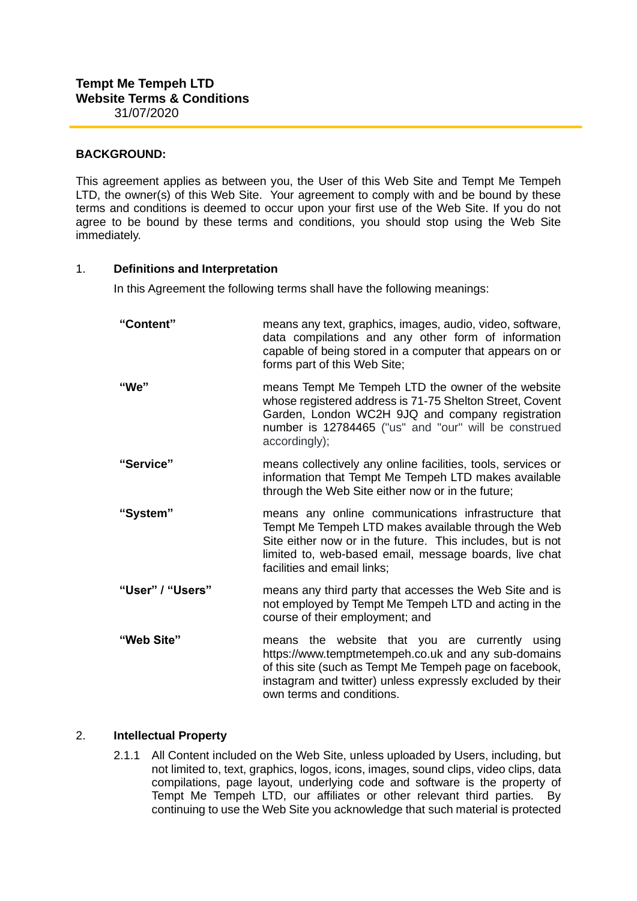# **BACKGROUND:**

This agreement applies as between you, the User of this Web Site and Tempt Me Tempeh LTD, the owner(s) of this Web Site. Your agreement to comply with and be bound by these terms and conditions is deemed to occur upon your first use of the Web Site. If you do not agree to be bound by these terms and conditions, you should stop using the Web Site immediately.

# 1. **Definitions and Interpretation**

In this Agreement the following terms shall have the following meanings:

| "Content"        | means any text, graphics, images, audio, video, software,<br>data compilations and any other form of information<br>capable of being stored in a computer that appears on or<br>forms part of this Web Site;                                                       |
|------------------|--------------------------------------------------------------------------------------------------------------------------------------------------------------------------------------------------------------------------------------------------------------------|
| "We"             | means Tempt Me Tempeh LTD the owner of the website<br>whose registered address is 71-75 Shelton Street, Covent<br>Garden, London WC2H 9JQ and company registration<br>number is 12784465 ("us" and "our" will be construed<br>accordingly);                        |
| "Service"        | means collectively any online facilities, tools, services or<br>information that Tempt Me Tempeh LTD makes available<br>through the Web Site either now or in the future;                                                                                          |
| "System"         | means any online communications infrastructure that<br>Tempt Me Tempeh LTD makes available through the Web<br>Site either now or in the future. This includes, but is not<br>limited to, web-based email, message boards, live chat<br>facilities and email links; |
| "User" / "Users" | means any third party that accesses the Web Site and is<br>not employed by Tempt Me Tempeh LTD and acting in the<br>course of their employment; and                                                                                                                |
| "Web Site"       | means the website that you are currently using<br>https://www.temptmetempeh.co.uk and any sub-domains<br>of this site (such as Tempt Me Tempeh page on facebook,<br>instagram and twitter) unless expressly excluded by their<br>own terms and conditions.         |

# 2. **Intellectual Property**

2.1.1 All Content included on the Web Site, unless uploaded by Users, including, but not limited to, text, graphics, logos, icons, images, sound clips, video clips, data compilations, page layout, underlying code and software is the property of Tempt Me Tempeh LTD, our affiliates or other relevant third parties. By continuing to use the Web Site you acknowledge that such material is protected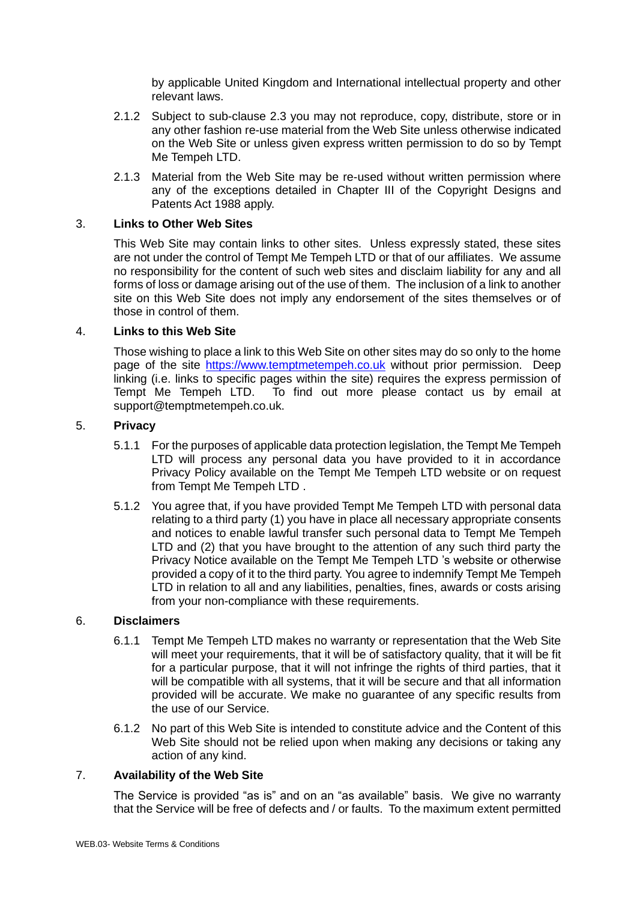by applicable United Kingdom and International intellectual property and other relevant laws.

- 2.1.2 Subject to sub-clause 2.3 you may not reproduce, copy, distribute, store or in any other fashion re-use material from the Web Site unless otherwise indicated on the Web Site or unless given express written permission to do so by Tempt Me Tempeh LTD.
- 2.1.3 Material from the Web Site may be re-used without written permission where any of the exceptions detailed in Chapter III of the Copyright Designs and Patents Act 1988 apply.

## 3. **Links to Other Web Sites**

This Web Site may contain links to other sites. Unless expressly stated, these sites are not under the control of Tempt Me Tempeh LTD or that of our affiliates. We assume no responsibility for the content of such web sites and disclaim liability for any and all forms of loss or damage arising out of the use of them. The inclusion of a link to another site on this Web Site does not imply any endorsement of the sites themselves or of those in control of them.

# 4. **Links to this Web Site**

Those wishing to place a link to this Web Site on other sites may do so only to the home page of the site https://www.temptmetempeh.co.uk without prior permission. Deep linking (i.e. links to specific pages within the site) requires the express permission of Tempt Me Tempeh LTD. To find out more please contact us by email at support@temptmetempeh.co.uk.

# 5. **Privacy**

- 5.1.1 For the purposes of applicable data protection legislation, the Tempt Me Tempeh LTD will process any personal data you have provided to it in accordance Privacy Policy available on the Tempt Me Tempeh LTD website or on request from Tempt Me Tempeh LTD .
- 5.1.2 You agree that, if you have provided Tempt Me Tempeh LTD with personal data relating to a third party (1) you have in place all necessary appropriate consents and notices to enable lawful transfer such personal data to Tempt Me Tempeh LTD and (2) that you have brought to the attention of any such third party the Privacy Notice available on the Tempt Me Tempeh LTD 's website or otherwise provided a copy of it to the third party. You agree to indemnify Tempt Me Tempeh LTD in relation to all and any liabilities, penalties, fines, awards or costs arising from your non-compliance with these requirements.

# 6. **Disclaimers**

- 6.1.1 Tempt Me Tempeh LTD makes no warranty or representation that the Web Site will meet your requirements, that it will be of satisfactory quality, that it will be fit for a particular purpose, that it will not infringe the rights of third parties, that it will be compatible with all systems, that it will be secure and that all information provided will be accurate. We make no guarantee of any specific results from the use of our Service.
- 6.1.2 No part of this Web Site is intended to constitute advice and the Content of this Web Site should not be relied upon when making any decisions or taking any action of any kind.

# 7. **Availability of the Web Site**

The Service is provided "as is" and on an "as available" basis. We give no warranty that the Service will be free of defects and / or faults. To the maximum extent permitted